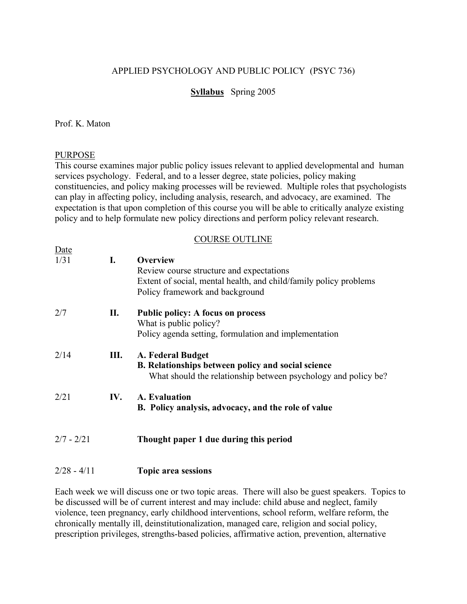# APPLIED PSYCHOLOGY AND PUBLIC POLICY (PSYC 736)

# **Syllabus** Spring 2005

# Prof. K. Maton

# PURPOSE

This course examines major public policy issues relevant to applied developmental and human services psychology. Federal, and to a lesser degree, state policies, policy making constituencies, and policy making processes will be reviewed. Multiple roles that psychologists can play in affecting policy, including analysis, research, and advocacy, are examined. The expectation is that upon completion of this course you will be able to critically analyze existing policy and to help formulate new policy directions and perform policy relevant research.

# COURSE OUTLINE

| Date         |     |                                                                   |
|--------------|-----|-------------------------------------------------------------------|
| 1/31         | I.  | <b>Overview</b>                                                   |
|              |     | Review course structure and expectations                          |
|              |     | Extent of social, mental health, and child/family policy problems |
|              |     | Policy framework and background                                   |
| 2/7          | П.  | <b>Public policy: A focus on process</b>                          |
|              |     | What is public policy?                                            |
|              |     | Policy agenda setting, formulation and implementation             |
| 2/14         | Ш.  | A. Federal Budget                                                 |
|              |     | <b>B.</b> Relationships between policy and social science         |
|              |     | What should the relationship between psychology and policy be?    |
| 2/21         | IV. | A. Evaluation                                                     |
|              |     | B. Policy analysis, advocacy, and the role of value               |
|              |     |                                                                   |
| $2/7 - 2/21$ |     | Thought paper 1 due during this period                            |
|              |     |                                                                   |

# 2/28 - 4/11 **Topic area sessions**

Each week we will discuss one or two topic areas. There will also be guest speakers. Topics to be discussed will be of current interest and may include: child abuse and neglect, family violence, teen pregnancy, early childhood interventions, school reform, welfare reform, the chronically mentally ill, deinstitutionalization, managed care, religion and social policy, prescription privileges, strengths-based policies, affirmative action, prevention, alternative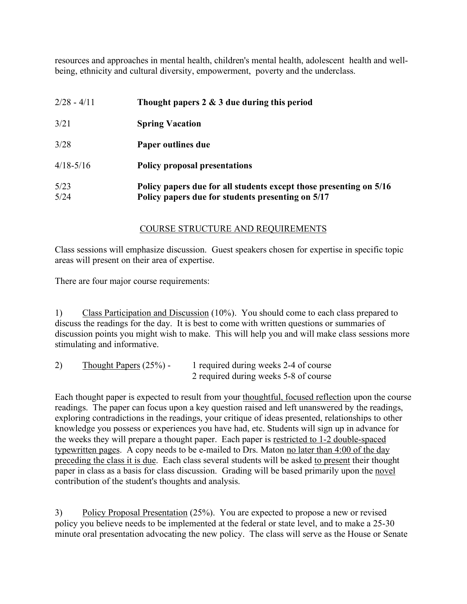resources and approaches in mental health, children's mental health, adolescent health and wellbeing, ethnicity and cultural diversity, empowerment, poverty and the underclass.

| $2/28 - 4/11$ | Thought papers $2 \& 3$ due during this period                     |  |
|---------------|--------------------------------------------------------------------|--|
| 3/21          | <b>Spring Vacation</b>                                             |  |
| 3/28          | Paper outlines due                                                 |  |
| $4/18 - 5/16$ | <b>Policy proposal presentations</b>                               |  |
| 5/23          | Policy papers due for all students except those presenting on 5/16 |  |
| 5/24          | Policy papers due for students presenting on 5/17                  |  |

# COURSE STRUCTURE AND REQUIREMENTS

Class sessions will emphasize discussion. Guest speakers chosen for expertise in specific topic areas will present on their area of expertise.

There are four major course requirements:

1) Class Participation and Discussion (10%). You should come to each class prepared to discuss the readings for the day. It is best to come with written questions or summaries of discussion points you might wish to make. This will help you and will make class sessions more stimulating and informative.

| 2) | $Though Papers (25%) -$ | 1 required during weeks 2-4 of course |
|----|-------------------------|---------------------------------------|
|    |                         | 2 required during weeks 5-8 of course |

Each thought paper is expected to result from your thoughtful, focused reflection upon the course readings. The paper can focus upon a key question raised and left unanswered by the readings, exploring contradictions in the readings, your critique of ideas presented, relationships to other knowledge you possess or experiences you have had, etc. Students will sign up in advance for the weeks they will prepare a thought paper. Each paper is restricted to 1-2 double-spaced typewritten pages. A copy needs to be e-mailed to Drs. Maton no later than 4:00 of the day preceding the class it is due. Each class several students will be asked to present their thought paper in class as a basis for class discussion. Grading will be based primarily upon the novel contribution of the student's thoughts and analysis.

3) Policy Proposal Presentation (25%). You are expected to propose a new or revised policy you believe needs to be implemented at the federal or state level, and to make a 25-30 minute oral presentation advocating the new policy. The class will serve as the House or Senate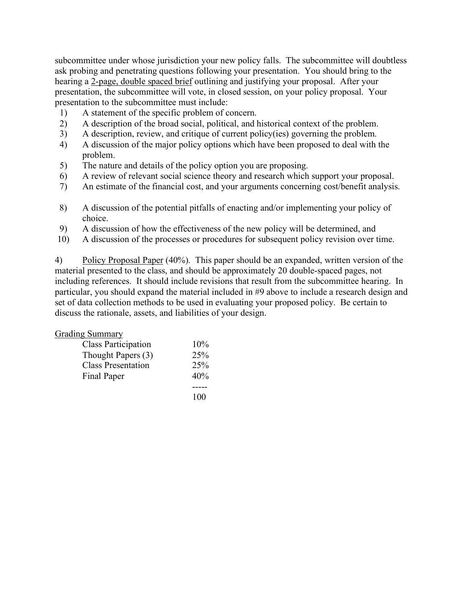subcommittee under whose jurisdiction your new policy falls. The subcommittee will doubtless ask probing and penetrating questions following your presentation. You should bring to the hearing a 2-page, double spaced brief outlining and justifying your proposal. After your presentation, the subcommittee will vote, in closed session, on your policy proposal. Your presentation to the subcommittee must include:

- 1) A statement of the specific problem of concern.
- 2) A description of the broad social, political, and historical context of the problem.
- 3) A description, review, and critique of current policy(ies) governing the problem.
- 4) A discussion of the major policy options which have been proposed to deal with the problem.
- 5) The nature and details of the policy option you are proposing.
- 6) A review of relevant social science theory and research which support your proposal.
- 7) An estimate of the financial cost, and your arguments concerning cost/benefit analysis.
- 8) A discussion of the potential pitfalls of enacting and/or implementing your policy of choice.
- 9) A discussion of how the effectiveness of the new policy will be determined, and
- 10) A discussion of the processes or procedures for subsequent policy revision over time.

4) Policy Proposal Paper (40%). This paper should be an expanded, written version of the material presented to the class, and should be approximately 20 double-spaced pages, not including references. It should include revisions that result from the subcommittee hearing. In particular, you should expand the material included in #9 above to include a research design and set of data collection methods to be used in evaluating your proposed policy. Be certain to discuss the rationale, assets, and liabilities of your design.

# Grading Summary

| <b>Class Participation</b> | 10% |
|----------------------------|-----|
| Thought Papers (3)         | 25% |
| <b>Class Presentation</b>  | 25% |
| Final Paper                | 40% |
|                            |     |
|                            | 100 |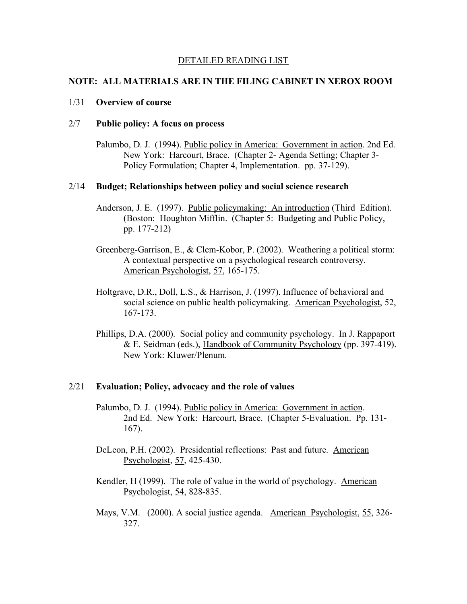### DETAILED READING LIST

## **NOTE: ALL MATERIALS ARE IN THE FILING CABINET IN XEROX ROOM**

# 1/31 **Overview of course**

# 2/7 **Public policy: A focus on process**

Palumbo, D. J. (1994). Public policy in America: Government in action. 2nd Ed. New York: Harcourt, Brace. (Chapter 2- Agenda Setting; Chapter 3- Policy Formulation; Chapter 4, Implementation. pp. 37-129).

## 2/14 **Budget; Relationships between policy and social science research**

- Anderson, J. E. (1997). Public policymaking: An introduction (Third Edition). (Boston: Houghton Mifflin. (Chapter 5: Budgeting and Public Policy, pp. 177-212)
- Greenberg-Garrison, E., & Clem-Kobor, P. (2002). Weathering a political storm: A contextual perspective on a psychological research controversy. American Psychologist, 57, 165-175.
- Holtgrave, D.R., Doll, L.S., & Harrison, J. (1997). Influence of behavioral and social science on public health policymaking. American Psychologist, 52, 167-173.
- Phillips, D.A. (2000). Social policy and community psychology. In J. Rappaport & E. Seidman (eds.), Handbook of Community Psychology (pp. 397-419). New York: Kluwer/Plenum.

## 2/21 **Evaluation; Policy, advocacy and the role of values**

- Palumbo, D. J. (1994). Public policy in America: Government in action. 2nd Ed. New York: Harcourt, Brace. (Chapter 5-Evaluation. Pp. 131- 167).
- DeLeon, P.H. (2002). Presidential reflections: Past and future. American Psychologist, 57, 425-430.
- Kendler, H (1999). The role of value in the world of psychology. American Psychologist, 54, 828-835.
- Mays, V.M. (2000). A social justice agenda. American Psychologist, 55, 326- 327.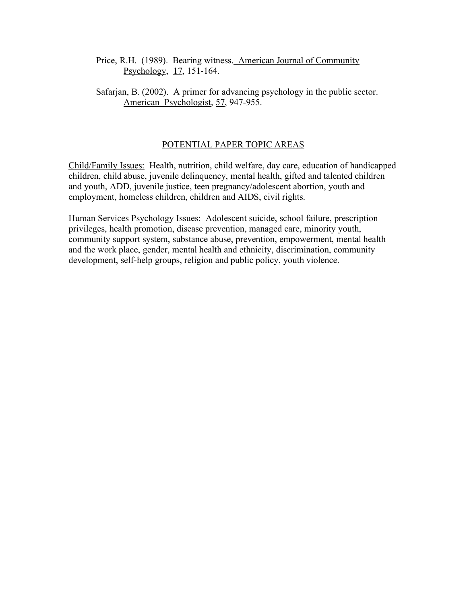Price, R.H. (1989). Bearing witness. American Journal of Community Psychology, 17, 151-164.

Safarjan, B. (2002). A primer for advancing psychology in the public sector. American Psychologist, 57, 947-955.

# POTENTIAL PAPER TOPIC AREAS

Child/Family Issues: Health, nutrition, child welfare, day care, education of handicapped children, child abuse, juvenile delinquency, mental health, gifted and talented children and youth, ADD, juvenile justice, teen pregnancy/adolescent abortion, youth and employment, homeless children, children and AIDS, civil rights.

Human Services Psychology Issues: Adolescent suicide, school failure, prescription privileges, health promotion, disease prevention, managed care, minority youth, community support system, substance abuse, prevention, empowerment, mental health and the work place, gender, mental health and ethnicity, discrimination, community development, self-help groups, religion and public policy, youth violence.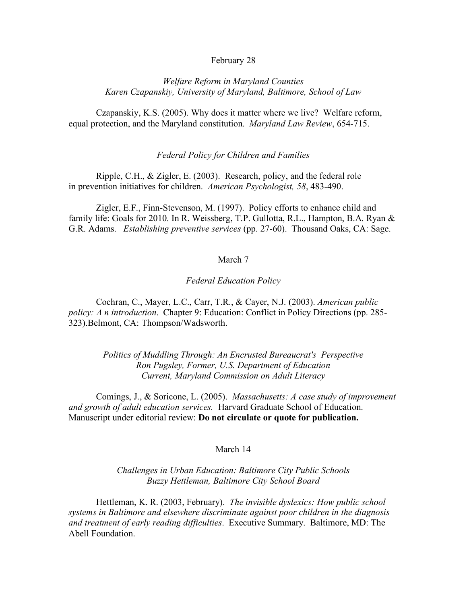### February 28

# *Welfare Reform in Maryland Counties Karen Czapanskiy, University of Maryland, Baltimore, School of Law*

Czapanskiy, K.S. (2005). Why does it matter where we live? Welfare reform, equal protection, and the Maryland constitution. *Maryland Law Review*, 654-715.

### *Federal Policy for Children and Families*

Ripple, C.H., & Zigler, E. (2003). Research, policy, and the federal role in prevention initiatives for children. *American Psychologist, 58*, 483-490.

Zigler, E.F., Finn-Stevenson, M. (1997). Policy efforts to enhance child and family life: Goals for 2010. In R. Weissberg, T.P. Gullotta, R.L., Hampton, B.A. Ryan & G.R. Adams. *Establishing preventive services* (pp. 27-60). Thousand Oaks, CA: Sage.

### March 7

## *Federal Education Policy*

Cochran, C., Mayer, L.C., Carr, T.R., & Cayer, N.J. (2003). *American public policy: A n introduction*. Chapter 9: Education: Conflict in Policy Directions (pp. 285- 323).Belmont, CA: Thompson/Wadsworth.

> *Politics of Muddling Through: An Encrusted Bureaucrat's Perspective Ron Pugsley, Former, U.S. Department of Education Current, Maryland Commission on Adult Literacy*

Comings, J., & Soricone, L. (2005). *Massachusetts: A case study of improvement and growth of adult education services.* Harvard Graduate School of Education. Manuscript under editorial review: **Do not circulate or quote for publication.**

#### March 14

# *Challenges in Urban Education: Baltimore City Public Schools Buzzy Hettleman, Baltimore City School Board*

Hettleman, K. R. (2003, February). *The invisible dyslexics: How public school systems in Baltimore and elsewhere discriminate against poor children in the diagnosis and treatment of early reading difficulties*. Executive Summary. Baltimore, MD: The Abell Foundation.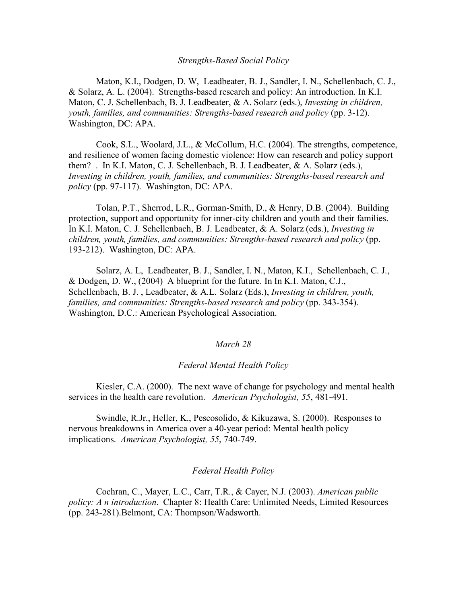#### *Strengths-Based Social Policy*

Maton, K.I., Dodgen, D. W, Leadbeater, B. J., Sandler, I. N., Schellenbach, C. J., & Solarz, A. L. (2004). Strengths-based research and policy: An introduction. In K.I. Maton, C. J. Schellenbach, B. J. Leadbeater, & A. Solarz (eds.), *Investing in children, youth, families, and communities: Strengths-based research and policy* (pp. 3-12). Washington, DC: APA.

Cook, S.L., Woolard, J.L., & McCollum, H.C. (2004). The strengths, competence, and resilience of women facing domestic violence: How can research and policy support them? . In K.I. Maton, C. J. Schellenbach, B. J. Leadbeater, & A. Solarz (eds.), *Investing in children, youth, families, and communities: Strengths-based research and policy* (pp. 97-117). Washington, DC: APA.

Tolan, P.T., Sherrod, L.R., Gorman-Smith, D., & Henry, D.B. (2004). Building protection, support and opportunity for inner-city children and youth and their families. In K.I. Maton, C. J. Schellenbach, B. J. Leadbeater, & A. Solarz (eds.), *Investing in children, youth, families, and communities: Strengths-based research and policy* (pp. 193-212). Washington, DC: APA.

Solarz, A. L, Leadbeater, B. J., Sandler, I. N., Maton, K.I., Schellenbach, C. J., & Dodgen, D. W.,  $(2004)$  A blueprint for the future. In In K.I. Maton, C.J., Schellenbach, B. J. , Leadbeater, & A.L. Solarz (Eds.), *Investing in children, youth, families, and communities: Strengths-based research and policy* (pp. 343-354). Washington, D.C.: American Psychological Association.

## *March 28*

#### *Federal Mental Health Policy*

Kiesler, C.A. (2000). The next wave of change for psychology and mental health services in the health care revolution. *American Psychologist, 55*, 481-491.

Swindle, R.Jr., Heller, K., Pescosolido, & Kikuzawa, S. (2000). Responses to nervous breakdowns in America over a 40-year period: Mental health policy implications. *American Psychologist, 55*, 740-749.

### *Federal Health Policy*

Cochran, C., Mayer, L.C., Carr, T.R., & Cayer, N.J. (2003). *American public policy: A n introduction*. Chapter 8: Health Care: Unlimited Needs, Limited Resources (pp. 243-281).Belmont, CA: Thompson/Wadsworth.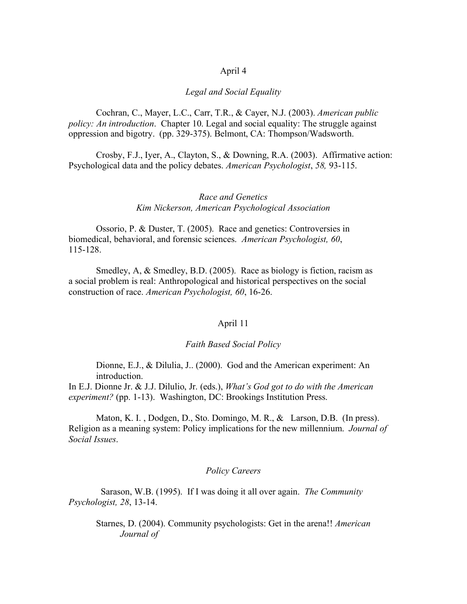## April 4

## *Legal and Social Equality*

Cochran, C., Mayer, L.C., Carr, T.R., & Cayer, N.J. (2003). *American public policy: An introduction*. Chapter 10. Legal and social equality: The struggle against oppression and bigotry. (pp. 329-375). Belmont, CA: Thompson/Wadsworth.

Crosby, F.J., Iyer, A., Clayton, S., & Downing, R.A. (2003). Affirmative action: Psychological data and the policy debates. *American Psychologist*, *58,* 93-115.

# *Race and Genetics Kim Nickerson, American Psychological Association*

Ossorio, P. & Duster, T. (2005). Race and genetics: Controversies in biomedical, behavioral, and forensic sciences. *American Psychologist, 60*, 115-128.

Smedley, A, & Smedley, B.D. (2005). Race as biology is fiction, racism as a social problem is real: Anthropological and historical perspectives on the social construction of race. *American Psychologist, 60*, 16-26.

### April 11

## *Faith Based Social Policy*

Dionne, E.J., & Dilulia, J.. (2000). God and the American experiment: An introduction.

In E.J. Dionne Jr. & J.J. Dilulio, Jr. (eds.), *What's God got to do with the American experiment?* (pp. 1-13). Washington, DC: Brookings Institution Press.

Maton, K. I., Dodgen, D., Sto. Domingo, M. R., & Larson, D.B. (In press). Religion as a meaning system: Policy implications for the new millennium. *Journal of Social Issues*.

### *Policy Careers*

Sarason, W.B. (1995). If I was doing it all over again. *The Community Psychologist, 28*, 13-14.

Starnes, D. (2004). Community psychologists: Get in the arena!! *American Journal of*